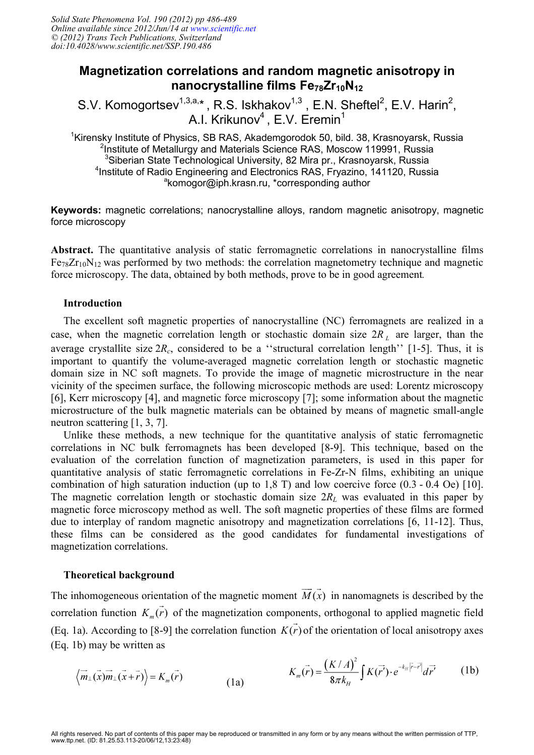## **Magnetization correlations and random magnetic anisotropy in nanocrystalline films Fe78Zr10N<sup>12</sup>**

S.V. Komogortsev<sup>1,3,a,\*</sup>, R.S. Iskhakov<sup>1,3</sup>, E.N. Sheftel<sup>2</sup>, E.V. Harin<sup>2</sup>, A.I. Krikunov $4$ , E.V. Eremin $1$ 

<sup>1</sup>Kirensky Institute of Physics, SB RAS, Akademgorodok 50, bild. 38, Krasnoyarsk, Russia <sup>2</sup>Institute of Metallurgy and Materials Science RAS, Moscow 119991, Russia <sup>3</sup>Siberian State Technological University, 82 Mira pr., Krasnoyarsk, Russia 4 Institute of Radio Engineering and Electronics RAS, Fryazino, 141120, Russia <sup>a</sup>komogor@iph.krasn.ru, \*corresponding author

**Keywords:** magnetic correlations; nanocrystalline alloys, random magnetic anisotropy, magnetic force microscopy

**Abstract.** The quantitative analysis of static ferromagnetic correlations in nanocrystalline films  $Fe<sub>78</sub>Zr<sub>10</sub>N<sub>12</sub>$  was performed by two methods: the correlation magnetometry technique and magnetic force microscopy. The data, obtained by both methods, prove to be in good agreement*.* 

## **Introduction**

The excellent soft magnetic properties of nanocrystalline (NC) ferromagnets are realized in a case, when the magnetic correlation length or stochastic domain size  $2R<sub>L</sub>$  are larger, than the average crystallite size  $2R_c$ , considered to be a "structural correlation length" [1-5]. Thus, it is important to quantify the volume-averaged magnetic correlation length or stochastic magnetic domain size in NC soft magnets. To provide the image of magnetic microstructure in the near vicinity of the specimen surface, the following microscopic methods are used: Lorentz microscopy [6], Kerr microscopy [4], and magnetic force microscopy [7]; some information about the magnetic microstructure of the bulk magnetic materials can be obtained by means of magnetic small-angle neutron scattering [1, 3, 7].

Unlike these methods, a new technique for the quantitative analysis of static ferromagnetic correlations in NC bulk ferromagnets has been developed [8-9]. This technique, based on the evaluation of the correlation function of magnetization parameters, is used in this paper for quantitative analysis of static ferromagnetic correlations in Fe-Zr-N films, exhibiting an unique combination of high saturation induction (up to 1,8 T) and low coercive force (0.3 - 0.4 Oe) [10]. The magnetic correlation length or stochastic domain size 2*RL* was evaluated in this paper by magnetic force microscopy method as well. The soft magnetic properties of these films are formed due to interplay of random magnetic anisotropy and magnetization correlations [6, 11-12]. Thus, these films can be considered as the good candidates for fundamental investigations of magnetization correlations.

## **Theoretical background**

The inhomogeneous orientation of the magnetic moment  $\vec{M}(\vec{x})$  in nanomagnets is described by the correlation function  $K_m(\vec{r})$  of the magnetization components, orthogonal to applied magnetic field (Eq. 1a). According to [8-9] the correlation function  $K(\vec{r})$  of the orientation of local anisotropy axes (Eq. 1b) may be written as

$$
\langle \overrightarrow{m}_{\perp}(\overrightarrow{x})\overrightarrow{m}_{\perp}(\overrightarrow{x}+\overrightarrow{r})\rangle = K_m(\overrightarrow{r})
$$
\n(1a) 
$$
K_m(\overrightarrow{r}) = \frac{(K/A)^2}{8\pi k_H} \int K(\overrightarrow{r}) \cdot e^{-k_H |\overrightarrow{r}-\overrightarrow{r}|} d\overrightarrow{r}
$$
\n(1b)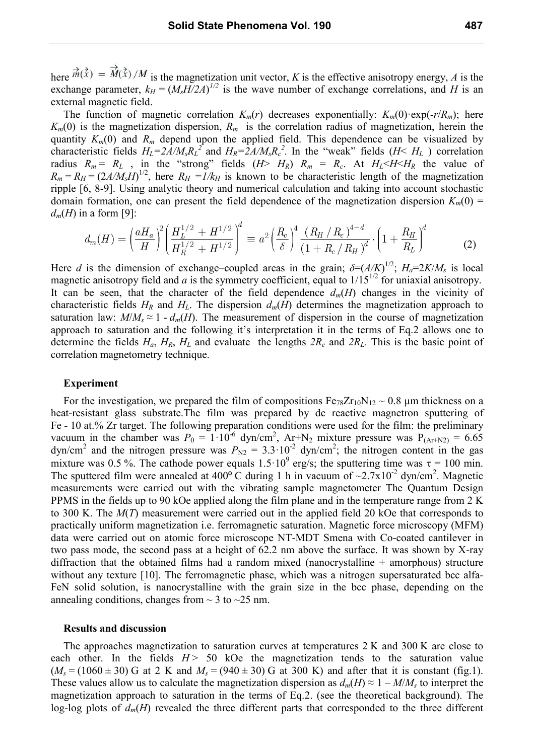here  $m(x) = M(x)/M$  is the magnetization unit vector, *K* is the effective anisotropy energy, *A* is the exchange parameter,  $k_H = (M_s H/2A)^{1/2}$  is the wave number of exchange correlations, and *H* is an external magnetic field.

The function of magnetic correlation  $K_m(r)$  decreases exponentially:  $K_m(0)$ ·exp(-r/ $R_m$ ); here  $K_m(0)$  is the magnetization dispersion,  $R_m$  is the correlation radius of magnetization, herein the quantity  $K_m(0)$  and  $R_m$  depend upon the applied field. This dependence can be visualized by characteristic fields  $H_L = 2A/M_s R_L^2$  and  $H_R = 2A/M_s R_c^2$ . In the "weak" fields (*H*<  $H_L$ ) correlation radius  $R_m = R_L$ , in the "strong" fields  $(H > H_R)$   $R_m = R_c$ . At  $H_L < H < H_R$  the value of  $R_m = R_H = (2A/M_sH)^{1/2}$ , here  $R_H = I/k_H$  is known to be characteristic length of the magnetization ripple [6, 8-9]. Using analytic theory and numerical calculation and taking into account stochastic domain formation, one can present the field dependence of the magnetization dispersion  $K_m(0)$  =  $d_m(H)$  in a form [9]:

$$
d_m(H) = \left(\frac{aH_a}{H}\right)^2 \left(\frac{H_L^{1/2} + H^{1/2}}{H_R^{1/2} + H^{1/2}}\right)^d \equiv a^2 \left(\frac{R_c}{\delta}\right)^4 \frac{\left(R_H/R_c\right)^{4-d}}{\left(1 + R_c/R_H\right)^d} \cdot \left(1 + \frac{R_H}{R_L}\right)^d \tag{2}
$$

Here *d* is the dimension of exchange–coupled areas in the grain;  $\delta = (A/K)^{1/2}$ ;  $H_a = 2K/M_s$  is local magnetic anisotropy field and  $a$  is the symmetry coefficient, equal to  $1/15^{1/2}$  for uniaxial anisotropy. It can be seen, that the character of the field dependence  $d_m(H)$  changes in the vicinity of characteristic fields  $H_R$  and  $H_L$ . The dispersion  $d_m(H)$  determines the magnetization approach to saturation law:  $M/M_s \approx 1$  -  $d_m(H)$ . The measurement of dispersion in the course of magnetization approach to saturation and the following it's interpretation it in the terms of Eq.2 allows one to determine the fields  $H_a$ ,  $H_R$ ,  $H_L$  and evaluate the lengths  $2R_c$  and  $2R_L$ . This is the basic point of correlation magnetometry technique.

#### **Experiment**

For the investigation, we prepared the film of compositions  $Fe_{78}Zr_{10}N_{12} \sim 0.8$  µm thickness on a heat-resistant glass substrate.The film was prepared by dc reactive magnetron sputtering of Fe - 10 at.% Zr target. The following preparation conditions were used for the film: the preliminary vacuum in the chamber was  $P_0 = 1.10^{-6}$  dyn/cm<sup>2</sup>, Ar+N<sub>2</sub> mixture pressure was  $P_{(Ar+N2)} = 6.65$ dyn/cm<sup>2</sup> and the nitrogen pressure was  $P_{N2} = 3.3 \cdot 10^{-2}$  dyn/cm<sup>2</sup>; the nitrogen content in the gas mixture was 0.5 %. The cathode power equals  $1.5 \cdot 10^9$  erg/s; the sputtering time was  $\tau = 100$  min. The sputtered film were annealed at 400 $\degree$ C during 1 h in vacuum of ~2.7x10<sup>-2</sup> dyn/cm<sup>2</sup>. Magnetic measurements were carried out with the vibrating sample magnetometer The Quantum Design PPMS in the fields up to 90 kOe applied along the film plane and in the temperature range from 2 K to 300 K. The *M*(*T*) measurement were carried out in the applied field 20 kOe that corresponds to practically uniform magnetization i.e. ferromagnetic saturation. Magnetic force microscopy (MFM) data were carried out on atomic force microscope NT-MDT Smena with Co-coated cantilever in two pass mode, the second pass at a height of 62.2 nm above the surface. It was shown by X-ray diffraction that the obtained films had a random mixed (nanocrystalline + amorphous) structure without any texture [10]. The ferromagnetic phase, which was a nitrogen supersaturated bcc alfa-FeN solid solution, is nanocrystalline with the grain size in the bcc phase, depending on the annealing conditions, changes from  $\sim$  3 to  $\sim$  25 nm.

#### **Results and discussion**

The approaches magnetization to saturation curves at temperatures 2 K and 300 K are close to each other. In the fields  $H > 50$  kOe the magnetization tends to the saturation value  $(M_s = (1060 \pm 30)$  G at 2 K and  $M_s = (940 \pm 30)$  G at 300 K) and after that it is constant (fig.1). These values allow us to calculate the magnetization dispersion as  $d_m(H) \approx 1 - M/M_s$  to interpret the magnetization approach to saturation in the terms of Eq.2. (see the theoretical background). The log-log plots of  $d_m(H)$  revealed the three different parts that corresponded to the three different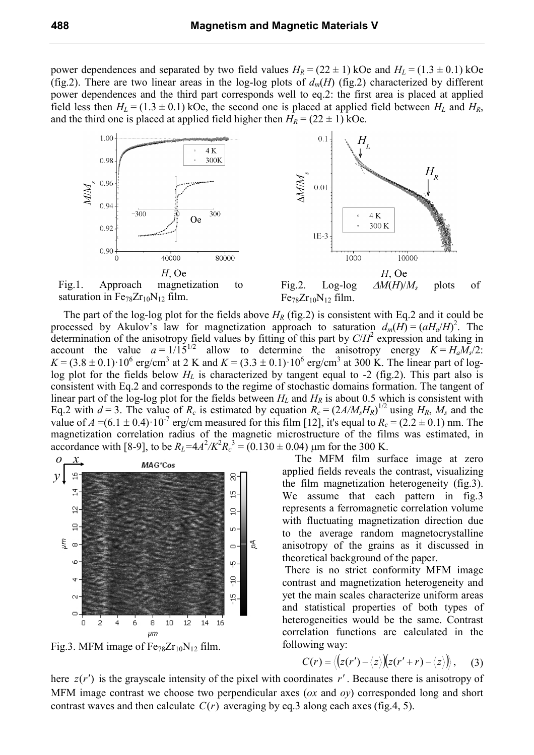power dependences and separated by two field values  $H_R = (22 \pm 1)$  kOe and  $H_L = (1.3 \pm 0.1)$  kOe (fig.2). There are two linear areas in the log-log plots of  $d_m(H)$  (fig.2) characterized by different power dependences and the third part corresponds well to eq.2: the first area is placed at applied field less then  $H_L = (1.3 \pm 0.1)$  kOe, the second one is placed at applied field between  $H_L$  and  $H_R$ , and the third one is placed at applied field higher then  $H_R = (22 \pm 1)$  kOe.



The part of the log-log plot for the fields above  $H_R$  (fig.2) is consistent with Eq.2 and it could be processed by Akulov's law for magnetization approach to saturation  $d_m(H) = (aH_a/H)^2$ . The determination of the anisotropy field values by fitting of this part by  $C/H^2$  expression and taking in account the value  $a = 1/\overline{15}^{1/2}$  allow to determine the anisotropy energy  $K = H_a M_s/2$ :  $K = (3.8 \pm 0.1) \cdot 10^6$  erg/cm<sup>3</sup> at 2 K and  $K = (3.3 \pm 0.1) \cdot 10^6$  erg/cm<sup>3</sup> at 300 K. The linear part of loglog plot for the fields below  $H_L$  is characterized by tangent equal to -2 (fig.2). This part also is consistent with Eq.2 and corresponds to the regime of stochastic domains formation. The tangent of linear part of the log-log plot for the fields between *HL* and *HR* is about 0.5 which is consistent with Eq.2 with  $d = 3$ . The value of  $R_c$  is estimated by equation  $R_c = (2A/M_sH_R)^{1/2}$  using  $H_R$ ,  $M_s$  and the value of  $A = (6.1 \pm 0.4) \cdot 10^{-7}$  erg/cm measured for this film [12], it's equal to  $R_c = (2.2 \pm 0.1)$  nm. The magnetization correlation radius of the magnetic microstructure of the films was estimated, in accordance with [8-9], to be  $R_L = 4A^2/K^2R_c^3 = (0.130 \pm 0.04)$  µm for the 300 K.



Fig.3. MFM image of  $Fe_{78}Zr_{10}N_{12}$  film.

The MFM film surface image at zero applied fields reveals the contrast, visualizing the film magnetization heterogeneity (fig.3). We assume that each pattern in fig. 3 represents a ferromagnetic correlation volume with fluctuating magnetization direction due to the average random magnetocrystalline anisotropy of the grains as it discussed in theoretical background of the paper.

 There is no strict conformity MFM image contrast and magnetization heterogeneity and yet the main scales characterize uniform areas and statistical properties of both types of heterogeneities would be the same. Contrast correlation functions are calculated in the following way:

$$
C(r) = \langle (z(r') - \langle z \rangle)(z(r' + r) - \langle z \rangle) \rangle, \quad (3)
$$

here  $z(r')$  is the grayscale intensity of the pixel with coordinates  $r'$ . Because there is anisotropy of MFM image contrast we choose two perpendicular axes (*ox* and *oy*) corresponded long and short contrast waves and then calculate  $C(r)$  averaging by eq.3 along each axes (fig.4, 5).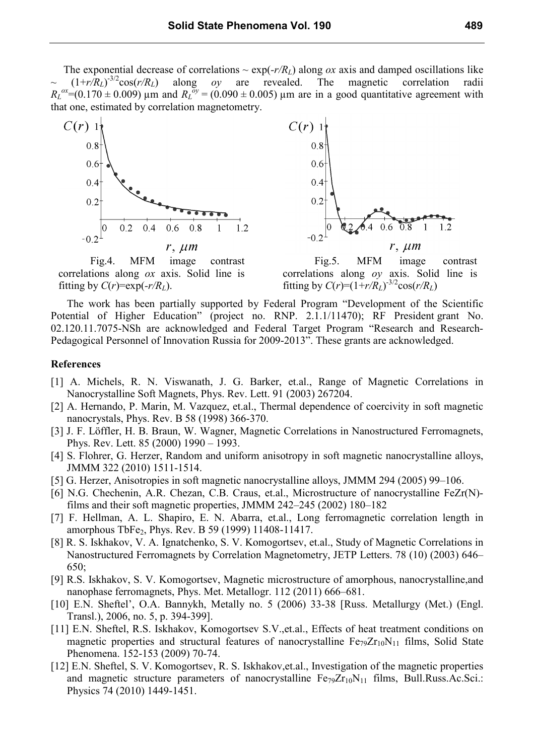The exponential decrease of correlations  $\sim \exp(-r/R_L)$  along *ox* axis and damped oscillations like  $(1+r/R_L)^{-3/2}$ cos(*r*/*R*<sub>*L*</sub>) -3/2cos(*r/RL*) along *oy* are revealed. The magnetic correlation radii  $R_L^{\text{ox}} = (0.170 \pm 0.009)$  µm and  $R_L^{\text{oy}} = (0.090 \pm 0.005)$  µm are in a good quantitative agreement with that one, estimated by correlation magnetometry.



Fig.4. MFM image contrast correlations along *ox* axis. Solid line is fitting by  $C(r) = \exp(-r/R_L)$ .



Fig.5. MFM image contrast correlations along *oy* axis. Solid line is fitting by  $C(r)=(1+r/R_L)^{-3/2}\cos(r/R_L)$ 

The work has been partially supported by Federal Program "Development of the Scientific Potential of Higher Education" (project no. RNP. 2.1.1/11470); RF President grant No. 02.120.11.7075-NSh are acknowledged and Federal Target Program "Research and Research-Pedagogical Personnel of Innovation Russia for 2009-2013". These grants are acknowledged.

#### **References**

- [1] A. Michels, R. N. Viswanath, J. G. Barker, et.al., Range of Magnetic Correlations in Nanocrystalline Soft Magnets, Phys. Rev. Lett. 91 (2003) 267204.
- [2] A. Hernando, P. Marin, M. Vazquez, et.al., Thermal dependence of coercivity in soft magnetic nanocrystals, Phys. Rev. B 58 (1998) 366-370.
- [3] J. F. Löffler, H. B. Braun, W. Wagner, Magnetic Correlations in Nanostructured Ferromagnets, Phys. Rev. Lett. 85 (2000) 1990 – 1993.
- [4] S. Flohrer, G. Herzer, Random and uniform anisotropy in soft magnetic nanocrystalline alloys, JMMM 322 (2010) 1511-1514.
- [5] G. Herzer, Anisotropies in soft magnetic nanocrystalline alloys, JMMM 294 (2005) 99–106.
- [6] N.G. Chechenin, A.R. Chezan, C.B. Craus, et.al., Microstructure of nanocrystalline FeZr(N) films and their soft magnetic properties, JMMM 242–245 (2002) 180–182
- [7] F. Hellman, A. L. Shapiro, E. N. Abarra, et.al., Long ferromagnetic correlation length in amorphous TbFe2, Phys. Rev. B 59 (1999) 11408-11417.
- [8] R. S. Iskhakov, V. A. Ignatchenko, S. V. Komogortsev, et.al., Study of Magnetic Correlations in Nanostructured Ferromagnets by Correlation Magnetometry, JETP Letters. 78 (10) (2003) 646– 650;
- [9] R.S. Iskhakov, S. V. Komogortsev, Magnetic microstructure of amorphous, nanocrystalline,and nanophase ferromagnets, Phys. Met. Metallogr. 112 (2011) 666–681.
- [10] E.N. Sheftel', O.A. Bannykh, Metally no. 5 (2006) 33-38 [Russ. Metallurgy (Met.) (Engl. Transl.), 2006, no. 5, p. 394-399].
- [11] E.N. Sheftel, R.S. Iskhakov, Komogortsev S.V., et.al., Effects of heat treatment conditions on magnetic properties and structural features of nanocrystalline  $Fe_{79}Zr_{10}N_{11}$  films, Solid State Phenomena. 152-153 (2009) 70-74.
- [12] E.N. Sheftel, S. V. Komogortsev, R. S. Iskhakov,et.al., Investigation of the magnetic properties and magnetic structure parameters of nanocrystalline  $Fe_{79}Zr_{10}N_{11}$  films, Bull.Russ.Ac.Sci.: Physics 74 (2010) 1449-1451.